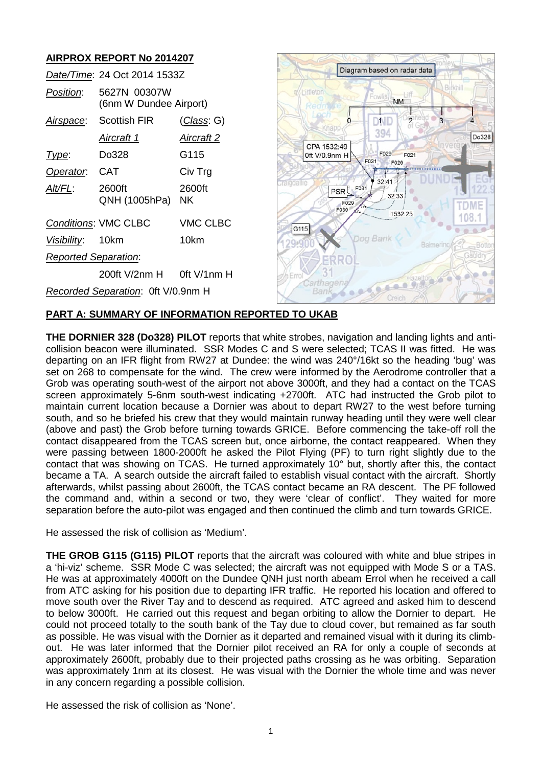# **AIRPROX REPORT No 2014207**

| AINF NUA NLF UNT NU ZUTTZUI                    |                                        |                    |                                                                 |
|------------------------------------------------|----------------------------------------|--------------------|-----------------------------------------------------------------|
| Date/Time: 24 Oct 2014 1533Z                   |                                        |                    | Diagram based on radar data                                     |
| Position:                                      | 5627N 00307W<br>(6nm W Dundee Airport) |                    | <b>Littleton</b><br><b>NM</b>                                   |
| Airspace:                                      | <b>Scottish FIR</b>                    | <u>(Class</u> : G) | $\overline{\mathbf{c}}$<br>JND<br>Knapp                         |
|                                                | <u>Aircraft 1</u>                      | <u>Aircraft 2</u>  | 394<br>Do328<br>CPA 1532:49                                     |
| Type:                                          | Do328                                  | G115               | F029<br>0ft V/0.9nm H<br>F021<br>F031<br>F026                   |
| Operator.                                      | <b>CAT</b>                             | Civ Trg            |                                                                 |
| Alt/FL:                                        | 2600ft<br>QNH (1005hPa)                | 2600ft<br>NK.      | 32:41<br><b>Talodallie</b><br>PSR F031<br>32:33<br>F029<br>F030 |
| <b>VMC CLBC</b><br><b>Conditions: VMC CLBC</b> |                                        |                    | 1532:25<br> G115                                                |
| Visibility:                                    | 10km                                   | 10km               | Dog Bank<br>Balmerino<br>-Botto                                 |
| <b>Reported Separation:</b>                    |                                        |                    |                                                                 |
|                                                | 200ft V/2nm H                          | Oft V/1nm H        | h Errol                                                         |
| Recorded Separation: Oft V/0.9nm H             |                                        |                    | arthagen<br>Bank<br>Creich                                      |

# **PART A: SUMMARY OF INFORMATION REPORTED TO UKAB**

**THE DORNIER 328 (Do328) PILOT** reports that white strobes, navigation and landing lights and anticollision beacon were illuminated. SSR Modes C and S were selected; TCAS II was fitted. He was departing on an IFR flight from RW27 at Dundee: the wind was 240°/16kt so the heading 'bug' was set on 268 to compensate for the wind. The crew were informed by the Aerodrome controller that a Grob was operating south-west of the airport not above 3000ft, and they had a contact on the TCAS screen approximately 5-6nm south-west indicating +2700ft. ATC had instructed the Grob pilot to maintain current location because a Dornier was about to depart RW27 to the west before turning south, and so he briefed his crew that they would maintain runway heading until they were well clear (above and past) the Grob before turning towards GRICE. Before commencing the take-off roll the contact disappeared from the TCAS screen but, once airborne, the contact reappeared. When they were passing between 1800-2000ft he asked the Pilot Flying (PF) to turn right slightly due to the contact that was showing on TCAS. He turned approximately 10° but, shortly after this, the contact became a TA. A search outside the aircraft failed to establish visual contact with the aircraft. Shortly afterwards, whilst passing about 2600ft, the TCAS contact became an RA descent. The PF followed the command and, within a second or two, they were 'clear of conflict'. They waited for more separation before the auto-pilot was engaged and then continued the climb and turn towards GRICE.

He assessed the risk of collision as 'Medium'.

**THE GROB G115 (G115) PILOT** reports that the aircraft was coloured with white and blue stripes in a 'hi-viz' scheme. SSR Mode C was selected; the aircraft was not equipped with Mode S or a TAS. He was at approximately 4000ft on the Dundee QNH just north abeam Errol when he received a call from ATC asking for his position due to departing IFR traffic. He reported his location and offered to move south over the River Tay and to descend as required. ATC agreed and asked him to descend to below 3000ft. He carried out this request and began orbiting to allow the Dornier to depart. He could not proceed totally to the south bank of the Tay due to cloud cover, but remained as far south as possible. He was visual with the Dornier as it departed and remained visual with it during its climbout. He was later informed that the Dornier pilot received an RA for only a couple of seconds at approximately 2600ft, probably due to their projected paths crossing as he was orbiting. Separation was approximately 1nm at its closest. He was visual with the Dornier the whole time and was never in any concern regarding a possible collision.

He assessed the risk of collision as 'None'.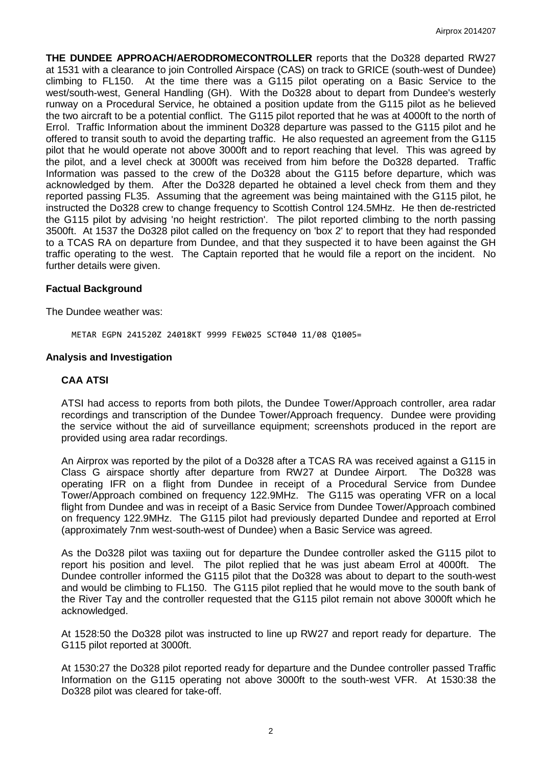**THE DUNDEE APPROACH/AERODROMECONTROLLER** reports that the Do328 departed RW27 at 1531 with a clearance to join Controlled Airspace (CAS) on track to GRICE (south-west of Dundee) climbing to FL150. At the time there was a G115 pilot operating on a Basic Service to the west/south-west, General Handling (GH). With the Do328 about to depart from Dundee's westerly runway on a Procedural Service, he obtained a position update from the G115 pilot as he believed the two aircraft to be a potential conflict. The G115 pilot reported that he was at 4000ft to the north of Errol. Traffic Information about the imminent Do328 departure was passed to the G115 pilot and he offered to transit south to avoid the departing traffic. He also requested an agreement from the G115 pilot that he would operate not above 3000ft and to report reaching that level. This was agreed by the pilot, and a level check at 3000ft was received from him before the Do328 departed. Traffic Information was passed to the crew of the Do328 about the G115 before departure, which was acknowledged by them. After the Do328 departed he obtained a level check from them and they reported passing FL35. Assuming that the agreement was being maintained with the G115 pilot, he instructed the Do328 crew to change frequency to Scottish Control 124.5MHz. He then de-restricted the G115 pilot by advising 'no height restriction'. The pilot reported climbing to the north passing 3500ft. At 1537 the Do328 pilot called on the frequency on 'box 2' to report that they had responded to a TCAS RA on departure from Dundee, and that they suspected it to have been against the GH traffic operating to the west. The Captain reported that he would file a report on the incident. No further details were given.

### **Factual Background**

The Dundee weather was:

METAR EGPN 241520Z 24018KT 9999 FEW025 SCT040 11/08 Q1005=

#### **Analysis and Investigation**

#### **CAA ATSI**

ATSI had access to reports from both pilots, the Dundee Tower/Approach controller, area radar recordings and transcription of the Dundee Tower/Approach frequency. Dundee were providing the service without the aid of surveillance equipment; screenshots produced in the report are provided using area radar recordings.

An Airprox was reported by the pilot of a Do328 after a TCAS RA was received against a G115 in Class G airspace shortly after departure from RW27 at Dundee Airport. The Do328 was operating IFR on a flight from Dundee in receipt of a Procedural Service from Dundee Tower/Approach combined on frequency 122.9MHz. The G115 was operating VFR on a local flight from Dundee and was in receipt of a Basic Service from Dundee Tower/Approach combined on frequency 122.9MHz. The G115 pilot had previously departed Dundee and reported at Errol (approximately 7nm west-south-west of Dundee) when a Basic Service was agreed.

As the Do328 pilot was taxiing out for departure the Dundee controller asked the G115 pilot to report his position and level. The pilot replied that he was just abeam Errol at 4000ft. The Dundee controller informed the G115 pilot that the Do328 was about to depart to the south-west and would be climbing to FL150. The G115 pilot replied that he would move to the south bank of the River Tay and the controller requested that the G115 pilot remain not above 3000ft which he acknowledged.

At 1528:50 the Do328 pilot was instructed to line up RW27 and report ready for departure. The G115 pilot reported at 3000ft.

At 1530:27 the Do328 pilot reported ready for departure and the Dundee controller passed Traffic Information on the G115 operating not above 3000ft to the south-west VFR. At 1530:38 the Do328 pilot was cleared for take-off.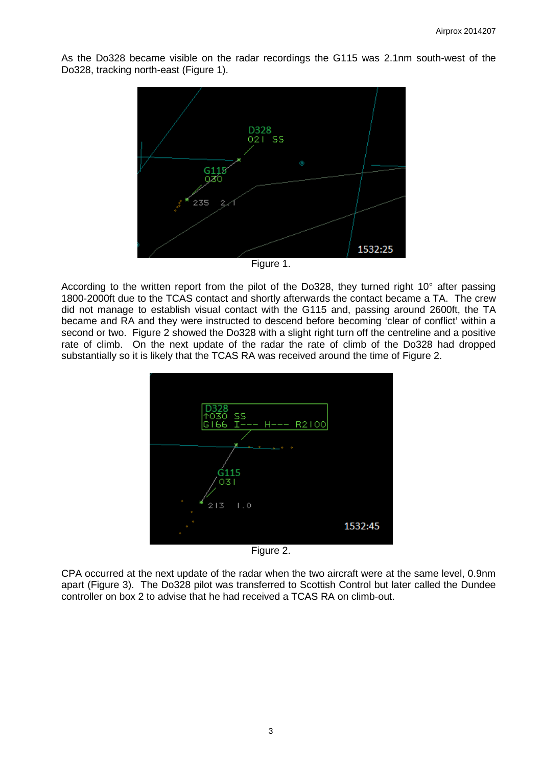As the Do328 became visible on the radar recordings the G115 was 2.1nm south-west of the Do328, tracking north-east (Figure 1).



Figure 1.

According to the written report from the pilot of the Do328, they turned right 10° after passing 1800-2000ft due to the TCAS contact and shortly afterwards the contact became a TA. The crew did not manage to establish visual contact with the G115 and, passing around 2600ft, the TA became and RA and they were instructed to descend before becoming 'clear of conflict' within a second or two. Figure 2 showed the Do328 with a slight right turn off the centreline and a positive rate of climb. On the next update of the radar the rate of climb of the Do328 had dropped substantially so it is likely that the TCAS RA was received around the time of Figure 2.



Figure 2.

CPA occurred at the next update of the radar when the two aircraft were at the same level, 0.9nm apart (Figure 3). The Do328 pilot was transferred to Scottish Control but later called the Dundee controller on box 2 to advise that he had received a TCAS RA on climb-out.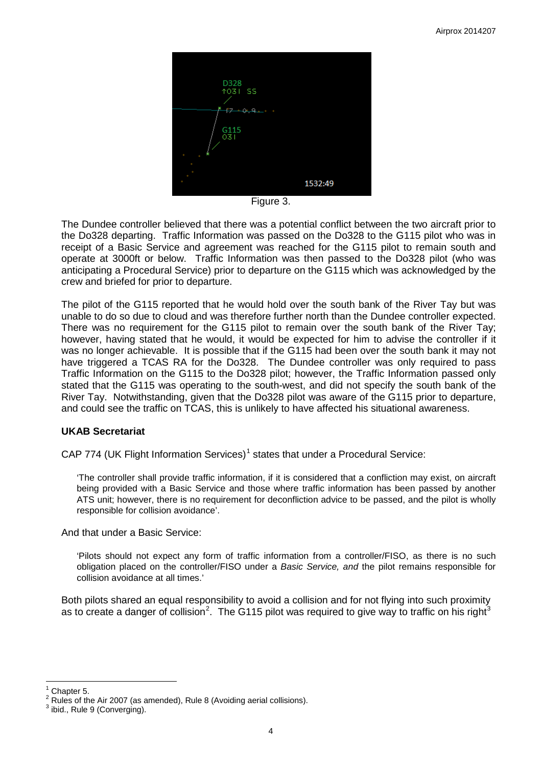

Figure 3.

The Dundee controller believed that there was a potential conflict between the two aircraft prior to the Do328 departing. Traffic Information was passed on the Do328 to the G115 pilot who was in receipt of a Basic Service and agreement was reached for the G115 pilot to remain south and operate at 3000ft or below. Traffic Information was then passed to the Do328 pilot (who was anticipating a Procedural Service) prior to departure on the G115 which was acknowledged by the crew and briefed for prior to departure.

The pilot of the G115 reported that he would hold over the south bank of the River Tay but was unable to do so due to cloud and was therefore further north than the Dundee controller expected. There was no requirement for the G115 pilot to remain over the south bank of the River Tay; however, having stated that he would, it would be expected for him to advise the controller if it was no longer achievable. It is possible that if the G115 had been over the south bank it may not have triggered a TCAS RA for the Do328. The Dundee controller was only required to pass Traffic Information on the G115 to the Do328 pilot; however, the Traffic Information passed only stated that the G115 was operating to the south-west, and did not specify the south bank of the River Tay. Notwithstanding, given that the Do328 pilot was aware of the G115 prior to departure, and could see the traffic on TCAS, this is unlikely to have affected his situational awareness.

# **UKAB Secretariat**

CAP 774 (UK Flight Information Services)<sup>[1](#page-3-0)</sup> states that under a Procedural Service:

'The controller shall provide traffic information, if it is considered that a confliction may exist, on aircraft being provided with a Basic Service and those where traffic information has been passed by another ATS unit; however, there is no requirement for deconfliction advice to be passed, and the pilot is wholly responsible for collision avoidance'.

And that under a Basic Service:

'Pilots should not expect any form of traffic information from a controller/FISO, as there is no such obligation placed on the controller/FISO under a *Basic Service, and* the pilot remains responsible for collision avoidance at all times.'

Both pilots shared an equal responsibility to avoid a collision and for not flying into such proximity as to create a danger of collision<sup>[2](#page-3-1)</sup>. The G115 pilot was required to give way to traffic on his right<sup>[3](#page-3-2)</sup>

<span id="page-3-1"></span><span id="page-3-0"></span><sup>&</sup>lt;sup>1</sup> Chapter 5.<br><sup>2</sup> Rules of the Air 2007 (as amended), Rule 8 (Avoiding aerial collisions).  $\frac{3}{3}$  ibid., Rule 9 (Converging).

<span id="page-3-2"></span>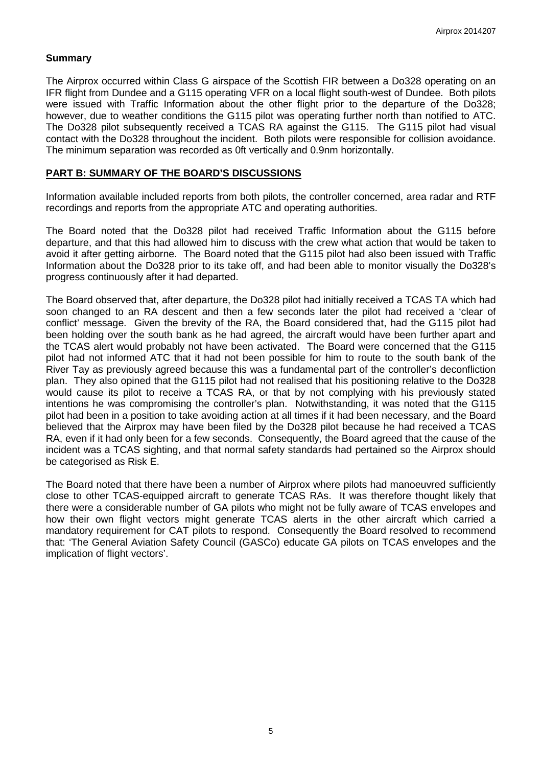## **Summary**

The Airprox occurred within Class G airspace of the Scottish FIR between a Do328 operating on an IFR flight from Dundee and a G115 operating VFR on a local flight south-west of Dundee. Both pilots were issued with Traffic Information about the other flight prior to the departure of the Do328; however, due to weather conditions the G115 pilot was operating further north than notified to ATC. The Do328 pilot subsequently received a TCAS RA against the G115. The G115 pilot had visual contact with the Do328 throughout the incident. Both pilots were responsible for collision avoidance. The minimum separation was recorded as 0ft vertically and 0.9nm horizontally.

### **PART B: SUMMARY OF THE BOARD'S DISCUSSIONS**

Information available included reports from both pilots, the controller concerned, area radar and RTF recordings and reports from the appropriate ATC and operating authorities.

The Board noted that the Do328 pilot had received Traffic Information about the G115 before departure, and that this had allowed him to discuss with the crew what action that would be taken to avoid it after getting airborne. The Board noted that the G115 pilot had also been issued with Traffic Information about the Do328 prior to its take off, and had been able to monitor visually the Do328's progress continuously after it had departed.

The Board observed that, after departure, the Do328 pilot had initially received a TCAS TA which had soon changed to an RA descent and then a few seconds later the pilot had received a 'clear of conflict' message. Given the brevity of the RA, the Board considered that, had the G115 pilot had been holding over the south bank as he had agreed, the aircraft would have been further apart and the TCAS alert would probably not have been activated. The Board were concerned that the G115 pilot had not informed ATC that it had not been possible for him to route to the south bank of the River Tay as previously agreed because this was a fundamental part of the controller's deconfliction plan. They also opined that the G115 pilot had not realised that his positioning relative to the Do328 would cause its pilot to receive a TCAS RA, or that by not complying with his previously stated intentions he was compromising the controller's plan. Notwithstanding, it was noted that the G115 pilot had been in a position to take avoiding action at all times if it had been necessary, and the Board believed that the Airprox may have been filed by the Do328 pilot because he had received a TCAS RA, even if it had only been for a few seconds. Consequently, the Board agreed that the cause of the incident was a TCAS sighting, and that normal safety standards had pertained so the Airprox should be categorised as Risk E.

The Board noted that there have been a number of Airprox where pilots had manoeuvred sufficiently close to other TCAS-equipped aircraft to generate TCAS RAs. It was therefore thought likely that there were a considerable number of GA pilots who might not be fully aware of TCAS envelopes and how their own flight vectors might generate TCAS alerts in the other aircraft which carried a mandatory requirement for CAT pilots to respond. Consequently the Board resolved to recommend that: 'The General Aviation Safety Council (GASCo) educate GA pilots on TCAS envelopes and the implication of flight vectors'.